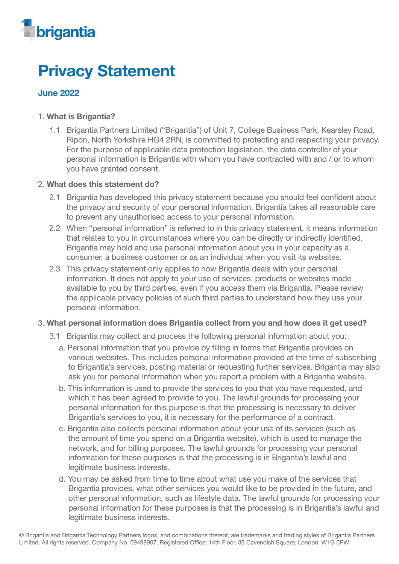

# Privacy Statement

## June 2022

## 1. What is Brigantia?

1.1 Brigantia Partners Limited ("Brigantia") of Unit 7, College Business Park, Kearsley Road, Ripon, North Yorkshire HG4 2RN, is committed to protecting and respecting your privacy. For the purpose of applicable data protection legislation, the data controller of your personal information is Brigantia with whom you have contracted with and / or to whom you have granted consent.

#### 2. What does this statement do?

- 2.1 Brigantia has developed this privacy statement because you should feel confident about the privacy and security of your personal information. Brigantia takes all reasonable care to prevent any unauthorised access to your personal information.
- 2.2 When "personal information" is referred to in this privacy statement, it means information that relates to you in circumstances where you can be directly or indirectly identified. Brigantia may hold and use personal information about you in your capacity as a consumer, a business customer or as an individual when you visit its websites.
- 2.3 This privacy statement only applies to how Brigantia deals with your personal information. It does not apply to your use of services, products or websites made available to you by third parties, even if you access them via Brigantia. Please review the applicable privacy policies of such third parties to understand how they use your personal information.

## 3. What personal information does Brigantia collect from you and how does it get used?

- 3.1 Brigantia may collect and process the following personal information about you:
	- a. Personal information that you provide by filling in forms that Brigantia provides on various websites. This includes personal information provided at the time of subscribing to Brigantia's services, posting material or requesting further services. Brigantia may also ask you for personal information when you report a problem with a Brigantia website.
	- b. This information is used to provide the services to you that you have requested, and which it has been agreed to provide to you. The lawful grounds for processing your personal information for this purpose is that the processing is necessary to deliver Brigantia's services to you, it is necessary for the performance of a contract.
	- c. Brigantia also collects personal information about your use of its services (such as the amount of time you spend on a Brigantia website), which is used to manage the network, and for billing purposes. The lawful grounds for processing your personal information for these purposes is that the processing is in Brigantia's lawful and legitimate business interests.
	- d. You may be asked from time to time about what use you make of the services that Brigantia provides, what other services you would like to be provided in the future, and other personal information, such as lifestyle data. The lawful grounds for processing your personal information for these purposes is that the processing is in Brigantia's lawful and legitimate business interests.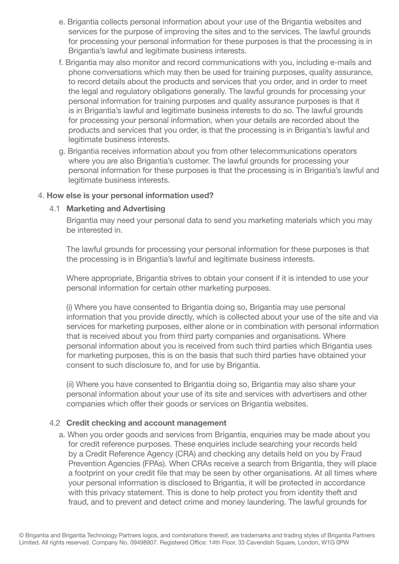- e. Brigantia collects personal information about your use of the Brigantia websites and services for the purpose of improving the sites and to the services. The lawful grounds for processing your personal information for these purposes is that the processing is in Brigantia's lawful and legitimate business interests.
- f. Brigantia may also monitor and record communications with you, including e-mails and phone conversations which may then be used for training purposes, quality assurance, to record details about the products and services that you order, and in order to meet the legal and regulatory obligations generally. The lawful grounds for processing your personal information for training purposes and quality assurance purposes is that it is in Brigantia's lawful and legitimate business interests to do so. The lawful grounds for processing your personal information, when your details are recorded about the products and services that you order, is that the processing is in Brigantia's lawful and legitimate business interests.
- g. Brigantia receives information about you from other telecommunications operators where you are also Brigantia's customer. The lawful grounds for processing your personal information for these purposes is that the processing is in Brigantia's lawful and legitimate business interests.

## 4. How else is your personal information used?

#### 4.1 Marketing and Advertising

Brigantia may need your personal data to send you marketing materials which you may be interested in.

The lawful grounds for processing your personal information for these purposes is that the processing is in Brigantia's lawful and legitimate business interests.

Where appropriate, Brigantia strives to obtain your consent if it is intended to use your personal information for certain other marketing purposes.

(i) Where you have consented to Brigantia doing so, Brigantia may use personal information that you provide directly, which is collected about your use of the site and via services for marketing purposes, either alone or in combination with personal information that is received about you from third party companies and organisations. Where personal information about you is received from such third parties which Brigantia uses for marketing purposes, this is on the basis that such third parties have obtained your consent to such disclosure to, and for use by Brigantia.

(ii) Where you have consented to Brigantia doing so, Brigantia may also share your personal information about your use of its site and services with advertisers and other companies which offer their goods or services on Brigantia websites.

#### 4.2 Credit checking and account management

a. When you order goods and services from Brigantia, enquiries may be made about you for credit reference purposes. These enquiries include searching your records held by a Credit Reference Agency (CRA) and checking any details held on you by Fraud Prevention Agencies (FPAs). When CRAs receive a search from Brigantia, they will place a footprint on your credit file that may be seen by other organisations. At all times where your personal information is disclosed to Brigantia, it will be protected in accordance with this privacy statement. This is done to help protect you from identity theft and fraud, and to prevent and detect crime and money laundering. The lawful grounds for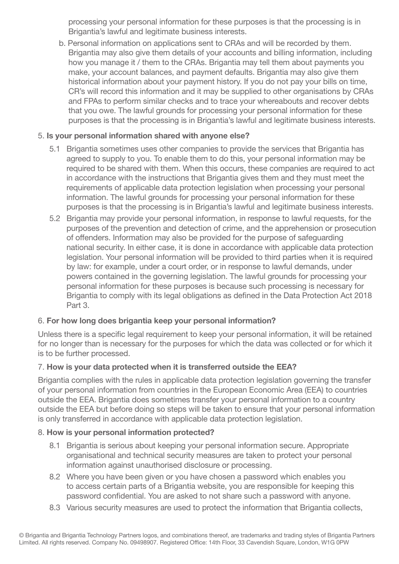processing your personal information for these purposes is that the processing is in Brigantia's lawful and legitimate business interests.

b. Personal information on applications sent to CRAs and will be recorded by them. Brigantia may also give them details of your accounts and billing information, including how you manage it / them to the CRAs. Brigantia may tell them about payments you make, your account balances, and payment defaults. Brigantia may also give them historical information about your payment history. If you do not pay your bills on time, CR's will record this information and it may be supplied to other organisations by CRAs and FPAs to perform similar checks and to trace your whereabouts and recover debts that you owe. The lawful grounds for processing your personal information for these purposes is that the processing is in Brigantia's lawful and legitimate business interests.

## 5. Is your personal information shared with anyone else?

- 5.1 Brigantia sometimes uses other companies to provide the services that Brigantia has agreed to supply to you. To enable them to do this, your personal information may be required to be shared with them. When this occurs, these companies are required to act in accordance with the instructions that Brigantia gives them and they must meet the requirements of applicable data protection legislation when processing your personal information. The lawful grounds for processing your personal information for these purposes is that the processing is in Brigantia's lawful and legitimate business interests.
- 5.2 Brigantia may provide your personal information, in response to lawful requests, for the purposes of the prevention and detection of crime, and the apprehension or prosecution of offenders. Information may also be provided for the purpose of safeguarding national security. In either case, it is done in accordance with applicable data protection legislation. Your personal information will be provided to third parties when it is required by law: for example, under a court order, or in response to lawful demands, under powers contained in the governing legislation. The lawful grounds for processing your personal information for these purposes is because such processing is necessary for Brigantia to comply with its legal obligations as defined in the Data Protection Act 2018 Part 3.

## 6. For how long does brigantia keep your personal information?

Unless there is a specific legal requirement to keep your personal information, it will be retained for no longer than is necessary for the purposes for which the data was collected or for which it is to be further processed.

## 7. How is your data protected when it is transferred outside the EEA?

Brigantia complies with the rules in applicable data protection legislation governing the transfer of your personal information from countries in the European Economic Area (EEA) to countries outside the EEA. Brigantia does sometimes transfer your personal information to a country outside the EEA but before doing so steps will be taken to ensure that your personal information is only transferred in accordance with applicable data protection legislation.

## 8. How is your personal information protected?

- 8.1 Brigantia is serious about keeping your personal information secure. Appropriate organisational and technical security measures are taken to protect your personal information against unauthorised disclosure or processing.
- 8.2 Where you have been given or you have chosen a password which enables you to access certain parts of a Brigantia website, you are responsible for keeping this password confidential. You are asked to not share such a password with anyone.
- 8.3 Various security measures are used to protect the information that Brigantia collects,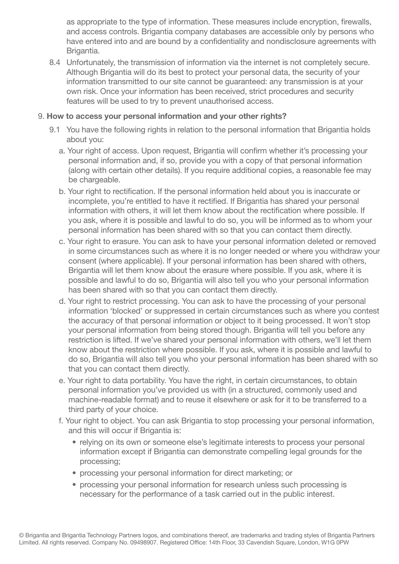as appropriate to the type of information. These measures include encryption, firewalls, and access controls. Brigantia company databases are accessible only by persons who have entered into and are bound by a confidentiality and nondisclosure agreements with Brigantia.

8.4 Unfortunately, the transmission of information via the internet is not completely secure. Although Brigantia will do its best to protect your personal data, the security of your information transmitted to our site cannot be guaranteed: any transmission is at your own risk. Once your information has been received, strict procedures and security features will be used to try to prevent unauthorised access.

## 9. How to access your personal information and your other rights?

- 9.1 You have the following rights in relation to the personal information that Brigantia holds about you:
	- a. Your right of access. Upon request, Brigantia will confirm whether it's processing your personal information and, if so, provide you with a copy of that personal information (along with certain other details). If you require additional copies, a reasonable fee may be chargeable.
	- b. Your right to rectification. If the personal information held about you is inaccurate or incomplete, you're entitled to have it rectified. If Brigantia has shared your personal information with others, it will let them know about the rectification where possible. If you ask, where it is possible and lawful to do so, you will be informed as to whom your personal information has been shared with so that you can contact them directly.
	- c. Your right to erasure. You can ask to have your personal information deleted or removed in some circumstances such as where it is no longer needed or where you withdraw your consent (where applicable). If your personal information has been shared with others, Brigantia will let them know about the erasure where possible. If you ask, where it is possible and lawful to do so, Brigantia will also tell you who your personal information has been shared with so that you can contact them directly.
	- d. Your right to restrict processing. You can ask to have the processing of your personal information 'blocked' or suppressed in certain circumstances such as where you contest the accuracy of that personal information or object to it being processed. It won't stop your personal information from being stored though. Brigantia will tell you before any restriction is lifted. If we've shared your personal information with others, we'll let them know about the restriction where possible. If you ask, where it is possible and lawful to do so, Brigantia will also tell you who your personal information has been shared with so that you can contact them directly.
	- e. Your right to data portability. You have the right, in certain circumstances, to obtain personal information you've provided us with (in a structured, commonly used and machine-readable format) and to reuse it elsewhere or ask for it to be transferred to a third party of your choice.
	- f. Your right to object. You can ask Brigantia to stop processing your personal information, and this will occur if Brigantia is:
		- relying on its own or someone else's legitimate interests to process your personal information except if Brigantia can demonstrate compelling legal grounds for the processing;
		- processing your personal information for direct marketing; or
		- processing your personal information for research unless such processing is necessary for the performance of a task carried out in the public interest.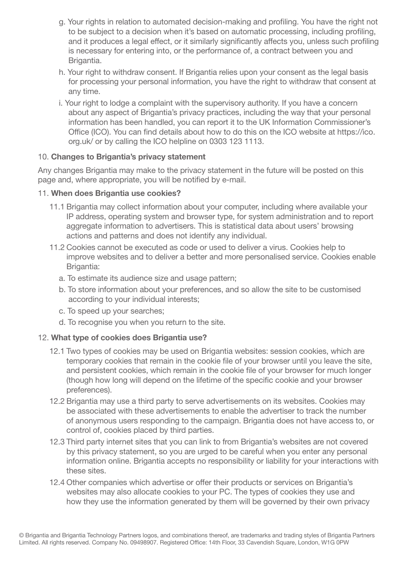- g. Your rights in relation to automated decision-making and profiling. You have the right not to be subject to a decision when it's based on automatic processing, including profiling, and it produces a legal effect, or it similarly significantly affects you, unless such profiling is necessary for entering into, or the performance of, a contract between you and Brigantia.
- h. Your right to withdraw consent. If Brigantia relies upon your consent as the legal basis for processing your personal information, you have the right to withdraw that consent at any time.
- i. Your right to lodge a complaint with the supervisory authority. If you have a concern about any aspect of Brigantia's privacy practices, including the way that your personal information has been handled, you can report it to the UK Information Commissioner's Office (ICO). You can find details about how to do this on the ICO website at https://ico. org.uk/ or by calling the ICO helpline on 0303 123 1113.

## 10. Changes to Brigantia's privacy statement

Any changes Brigantia may make to the privacy statement in the future will be posted on this page and, where appropriate, you will be notified by e-mail.

## 11. When does Brigantia use cookies?

- 11.1 Brigantia may collect information about your computer, including where available your IP address, operating system and browser type, for system administration and to report aggregate information to advertisers. This is statistical data about users' browsing actions and patterns and does not identify any individual.
- 11.2 Cookies cannot be executed as code or used to deliver a virus. Cookies help to improve websites and to deliver a better and more personalised service. Cookies enable Brigantia:
	- a. To estimate its audience size and usage pattern;
	- b. To store information about your preferences, and so allow the site to be customised according to your individual interests;
	- c. To speed up your searches;
	- d. To recognise you when you return to the site.

## 12. What type of cookies does Brigantia use?

- 12.1 Two types of cookies may be used on Brigantia websites: session cookies, which are temporary cookies that remain in the cookie file of your browser until you leave the site, and persistent cookies, which remain in the cookie file of your browser for much longer (though how long will depend on the lifetime of the specific cookie and your browser preferences).
- 12.2 Brigantia may use a third party to serve advertisements on its websites. Cookies may be associated with these advertisements to enable the advertiser to track the number of anonymous users responding to the campaign. Brigantia does not have access to, or control of, cookies placed by third parties.
- 12.3 Third party internet sites that you can link to from Brigantia's websites are not covered by this privacy statement, so you are urged to be careful when you enter any personal information online. Brigantia accepts no responsibility or liability for your interactions with these sites.
- 12.4 Other companies which advertise or offer their products or services on Brigantia's websites may also allocate cookies to your PC. The types of cookies they use and how they use the information generated by them will be governed by their own privacy